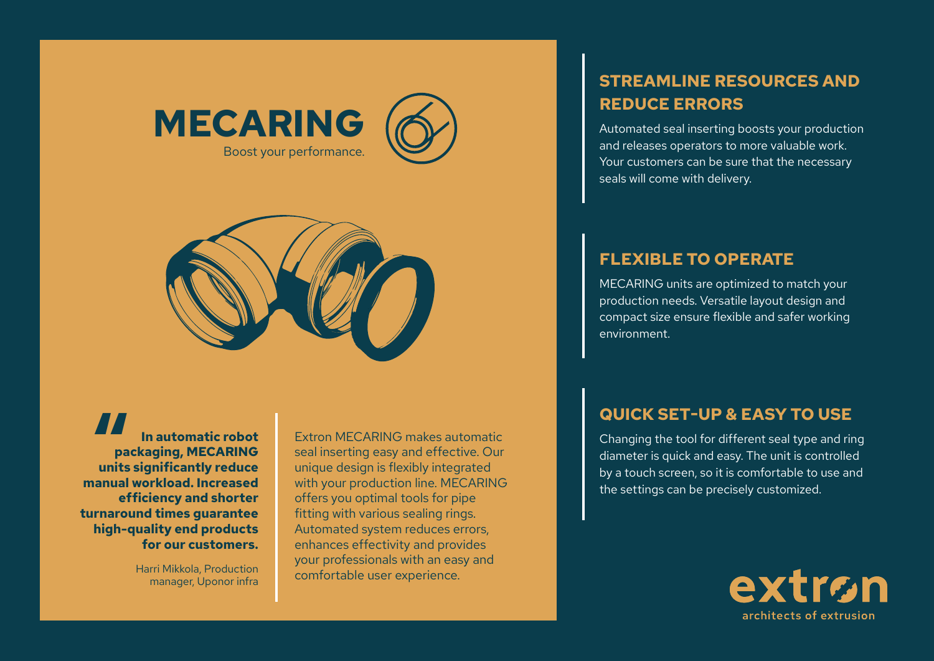



**In automatic robot packaging, MECARING units significantly reduce**<br> **Security significantly reduce**<br> **Security reduce**<br> **Proposed because manual workload. Increased efficiency and shorter turnaround times guarantee high-quality end products for our customers.**

> Harri Mikkola, Production manager, Uponor infra

Extron MECARING makes automatic seal inserting easy and effective. Our unique design is flexibly integrated with your production line. MECARING offers you optimal tools for pipe fitting with various sealing rings. Automated system reduces errors, enhances effectivity and provides your professionals with an easy and comfortable user experience.

# **STREAMLINE RESOURCES AND REDUCE ERRORS**

Automated seal inserting boosts your production and releases operators to more valuable work. Your customers can be sure that the necessary seals will come with delivery.

### **FLEXIBLE TO OPERATE**

MECARING units are optimized to match your production needs. Versatile layout design and compact size ensure flexible and safer working environment.

## **QUICK SET-UP & EASY TO USE**

Changing the tool for different seal type and ring diameter is quick and easy. The unit is controlled by a touch screen, so it is comfortable to use and the settings can be precisely customized.

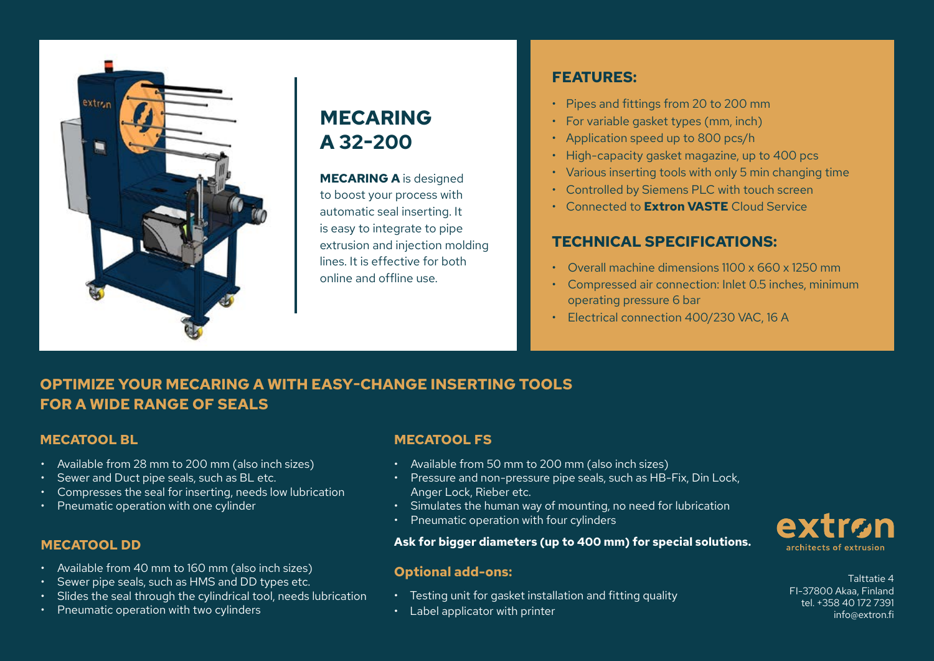

# **MECARING A 32-200**

**MECARING A** is designed to boost your process with automatic seal inserting. It is easy to integrate to pipe extrusion and injection molding lines. It is effective for both online and offline use.

### **FEATURES:**

- Pipes and fittings from 20 to 200 mm
- For variable gasket types (mm, inch)
- Application speed up to 800 pcs/h
- High-capacity gasket magazine, up to 400 pcs
- Various inserting tools with only 5 min changing time
- Controlled by Siemens PLC with touch screen
- Connected to **Extron VASTE** Cloud Service

## **TECHNICAL SPECIFICATIONS:**

- Overall machine dimensions 1100 x 660 x 1250 mm
- Compressed air connection: Inlet 0.5 inches, minimum operating pressure 6 bar
- Electrical connection 400/230 VAC, 16 A

# **OPTIMIZE YOUR MECARING A WITH EASY-CHANGE INSERTING TOOLS FOR A WIDE RANGE OF SEALS**

### **MECATOOL BL**

- Available from 28 mm to 200 mm (also inch sizes)
- Sewer and Duct pipe seals, such as BL etc.
- Compresses the seal for inserting, needs low lubrication
- Pneumatic operation with one cylinder

### **MECATOOL DD**

- Available from 40 mm to 160 mm (also inch sizes)
- Sewer pipe seals, such as HMS and DD types etc.
- Slides the seal through the cylindrical tool, needs lubrication
- Pneumatic operation with two cylinders

### **MECATOOL FS**

- Available from 50 mm to 200 mm (also inch sizes)
- Pressure and non-pressure pipe seals, such as HB-Fix, Din Lock, Anger Lock, Rieber etc.
- Simulates the human way of mounting, no need for lubrication
- Pneumatic operation with four cylinders

### **Ask for bigger diameters (up to 400 mm) for special solutions.**

## **Optional add-ons:** Talttatie 4

- Testing unit for gasket installation and fitting quality
- Label applicator with printer



FI-37800 Akaa, Finland tel. +358 40 172 7391 info@extron.fi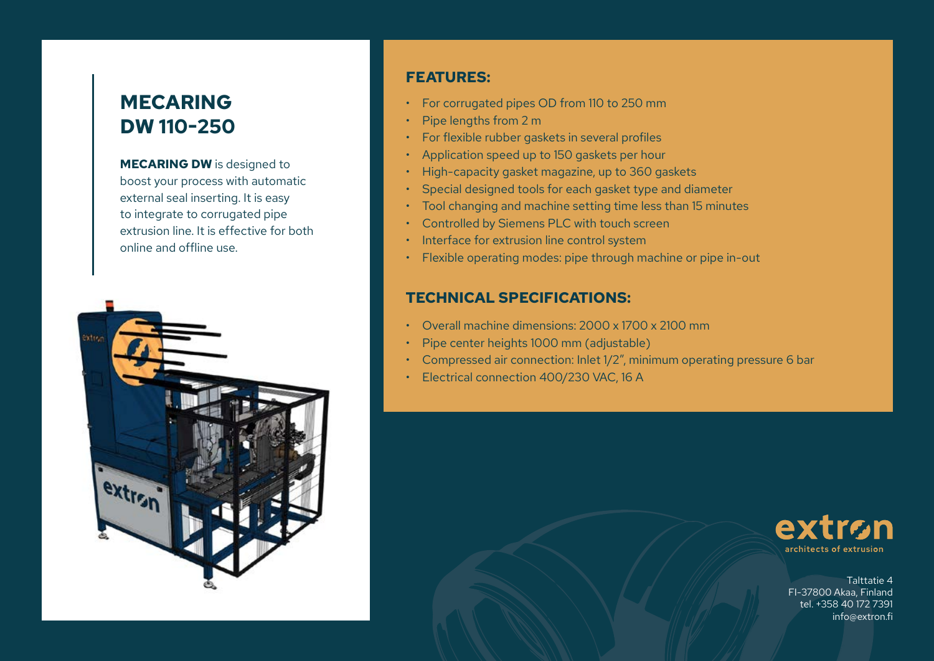# **MECARING DW 110-250**

**MECARING DW** is designed to boost your process with automatic external seal inserting. It is easy to integrate to corrugated pipe extrusion line. It is effective for both online and offline use.



### **FEATURES:**

- For corrugated pipes OD from 110 to 250 mm
- Pipe lengths from 2 m
- For flexible rubber gaskets in several profiles
- Application speed up to 150 gaskets per hour
- High-capacity gasket magazine, up to 360 gaskets
- Special designed tools for each gasket type and diameter
- Tool changing and machine setting time less than 15 minutes
- Controlled by Siemens PLC with touch screen
- Interface for extrusion line control system
- Flexible operating modes: pipe through machine or pipe in-out

### **TECHNICAL SPECIFICATIONS:**

- Overall machine dimensions: 2000 x 1700 x 2100 mm
- Pipe center heights 1000 mm (adjustable)
- Compressed air connection: Inlet 1/2", minimum operating pressure 6 bar
- Electrical connection 400/230 VAC, 16 A



Talttatie 4 FI-37800 Akaa, Finland tel. +358 40 172 7391 info@extron.fi